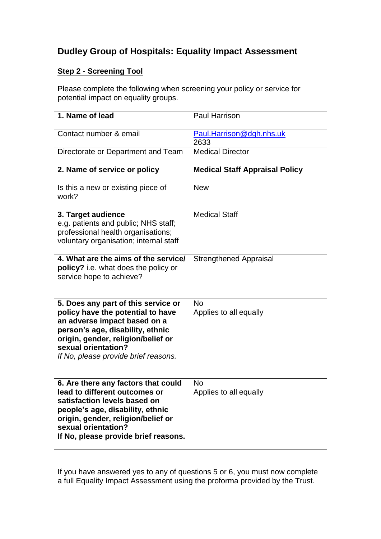## **Dudley Group of Hospitals: Equality Impact Assessment**

## **Step 2 - Screening Tool**

Please complete the following when screening your policy or service for potential impact on equality groups.

| 1. Name of lead                                                                                                                                                                                                                                   | Paul Harrison                         |
|---------------------------------------------------------------------------------------------------------------------------------------------------------------------------------------------------------------------------------------------------|---------------------------------------|
| Contact number & email                                                                                                                                                                                                                            | Paul.Harrison@dgh.nhs.uk<br>2633      |
| Directorate or Department and Team                                                                                                                                                                                                                | <b>Medical Director</b>               |
| 2. Name of service or policy                                                                                                                                                                                                                      | <b>Medical Staff Appraisal Policy</b> |
| Is this a new or existing piece of<br>work?                                                                                                                                                                                                       | <b>New</b>                            |
| 3. Target audience<br>e.g. patients and public; NHS staff;<br>professional health organisations;<br>voluntary organisation; internal staff                                                                                                        | <b>Medical Staff</b>                  |
| 4. What are the aims of the service/<br>policy? i.e. what does the policy or<br>service hope to achieve?                                                                                                                                          | <b>Strengthened Appraisal</b>         |
| 5. Does any part of this service or<br>policy have the potential to have<br>an adverse impact based on a<br>person's age, disability, ethnic<br>origin, gender, religion/belief or<br>sexual orientation?<br>If No, please provide brief reasons. | <b>No</b><br>Applies to all equally   |
| 6. Are there any factors that could<br>lead to different outcomes or<br>satisfaction levels based on<br>people's age, disability, ethnic<br>origin, gender, religion/belief or<br>sexual orientation?<br>If No, please provide brief reasons.     | <b>No</b><br>Applies to all equally   |

If you have answered yes to any of questions 5 or 6, you must now complete a full Equality Impact Assessment using the proforma provided by the Trust.